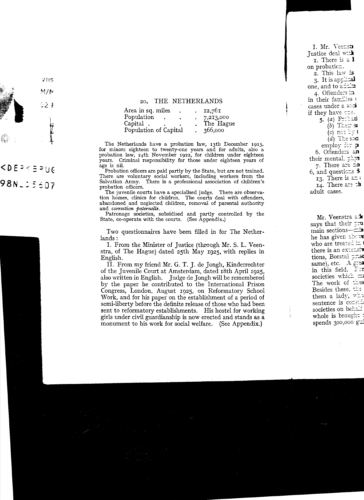## 20. THE NETHERLANDS

| Area in sq. miles     | ٠ | 12.761    |
|-----------------------|---|-----------|
| Population            |   | 7,213,000 |
| Capital.              |   | The Hague |
| Population of Capital |   | 366,000   |

The Netherlands have a probation law, 13th December 1915, for minors eighteen to twenty-one years and for adults, also a probation law, 24th November 1922, for children under eighteen years. Criminal responsibility for those under eighteen years of age is nil.

Probation officers are paid partly by the State, but are not trained. There are voluntary social workers, including workers from the Salvation Army. There is a professional assodation of children's probation officers.

The juvenile courts have a specialised judge. There are observation homes, clinics for children. The courts deal with offenders, abandoned and neglected children, removal of parental authority and *correction paternelle.* 

Patronage sodeties, subsidised and partly controlled by the State, co-operate with the courts. (See Appendix.)

Two questionnaires have been filled in for The Netherlands :

1. From the Minister of Justice (through Mr. S. L. Veenstra, of The Hague) dated 25th May 1925, with replies in English.

Il. From my friend Mr. G. T. J. de Jongh, Kinderrechter of the Juvenile Court at Amsterdam, dated 18th April 1925, also written in English. Judge de Jongh will be remembered by the paper he contributed to the International Prison Congress, London, August 1925, on Reformatory School Work, and for his paper on the establishment of a period of semi-liberty before the definite release of those who had been sent to reformatory establishments. His hostel for working girls under civil guardianship is now erected and stands as a monument to his work for social welfare. (See Appendix.)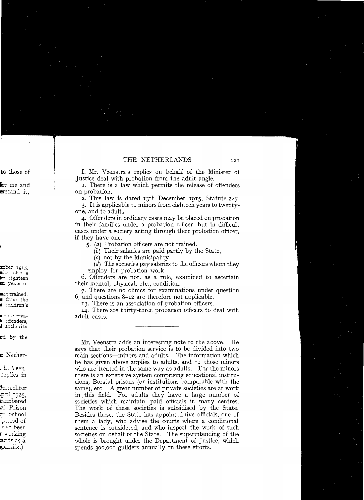I. Mr. Veenstra's replies on behalf of the Minister of Justice deal with probation from the adult angle.

I. There is a law which permits the release of offenders on probation.

2. This law is dated 13th December 1915, Statute 247.

3. It is applicable to minors from eighteen years to twentyone, and to adults.

4. Offenders in ordinary cases may be placed on probation in their families under a probation officer, but in difficult cases under a society acting through their probation officer. if they have one.

 $\zeta$ . (a) Probation officers are not trained.

 $(b)$  Their salaries are paid partly by the State.

 $(c)$  not by the Municipality.

(d) The societies pay salaries to the officers whom they employ for probation work.

6. Offenders are not, as a rule, examined to ascertain their mental, physical, etc., condition.

7. There are no clinics for examinations under question  $6$ , and questions  $8-12$  are therefore not applicable.

13. There is an association of probation officers.

14. There are thirty-three probation officers to deal with adult cases.

Mr. Veenstra adds an interesting note to the above. He says that their probation service is to be divided into two main sections—minors and adults. The information which he has given above applies to adults, and to those minors who are treated in the same way as adults. For the minors there is an extensive system comprising educational institutions. Borstal prisons (or institutions comparable with the same), etc. A great number of private societies are at work in this field. For adults they have a large number of societies which maintain paid officials in many centres. The work of these societies is subsidised by the State. Besides these, the State has appointed five officials, one of them a lady, who advise the courts where a conditional sentence is considered, and who inspect the work of such societies on behalf of the State. The superintending of the whole is brought under the Department of Justice, which spends 300,000 guilders annually on these efforts.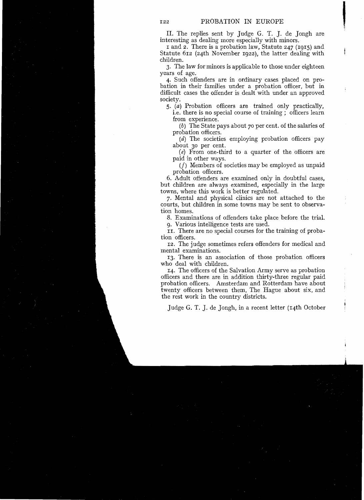II. The replies sent by Judge G. T. J. de Jongh are interesting as dealing more especially with minors.

I and 2. There is a probation law, Statute 247 (I9I5) and Statute 612 (24th November 1922), the latter dealing with children.

3. The law forminors is applicable to those under eighteen years of age.

4. Such offenders are in ordinary cases placed on probation in their families under a probation officer, but in difficult cases the offender is dealt with under an approved society.

*5.* (a) Probation officers are trained only practically,

i.e. there is no special course of training; officers learn from experience.

(b) The State pays about 70 per cent. of the salaries of probation officers.

(d) The societies employing probation officers pay about 30 per cent.

 $(e)$  From one-third to a quarter of the officers are paid in other ways.

(f) Members of societies may be employed as unpaid probation officers.

6. Adult offenders are examined only in doubtful cases, but children are always examined, especially in the large towns, where this work is better regulated.

7. Mental and physical clinics are not attached to the courts, but children in some towns may be sent to observation homes.

8. Examinations of offenders take place before the trial.

9. Various intelligence tests are used.

II. There are no special courses for the training of probation officers.

12. The judge sometimes refers offenders for medical and mental examinations.

I3. There is an assocÎation of those probation officers who deal with children.

I4. The officers of the Salvation Army serve as probation officers and there are in addition thirty-three regular paid probation officers. Amsterdam and Rotterdam have about twenty officers between them, The Hague about six, and the rest work in the country districts.

Judge G. T. J. de Jongh, in a recent letter (I4th October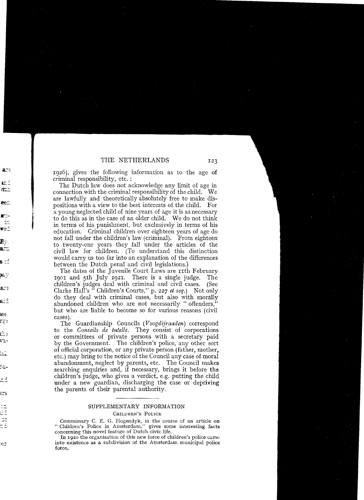1926), gives the following information as to the age of crimina! responsibility, etc. :

The Dutch law does not acknowledge any limit of age in connection with the criminal responsibility of the child. We are lawfully and theoretically absolutely free to make dispositions with a view to the best interests of the child. For<br>a young neglected child of nine years of age it is as necessary to do this as in the case of an older child. We do not think in terms of his punishment, but exclusively in terms of his education. Criminal children over eighteen years of age do not fall under the children's law (criminal). From eighteen to twenty-one years they fall under the articles of the civil law for children. (To understand this distinction would carry us too far into an explanation of the differences between the Dutch penal and civil legislations.)

The dates of the Juvenile Court Laws are rith February<br>or and sth July 1021. There is a single judge. The I90I and sth July I921. There is a single judge. The children's judges deal with criminal and civil cases. (See Clarke Hall's " Children's Courts," p. 227 *et seq.*) Not only do they deal with criminal cases, but also with morally abandoned children who are not necessarily "offenders," but who are liable to become so for various reasons (civil cases).

The Guardianship Councils (V*oogdijraaden)* correspond to the *Conseils de tutelle.* They consist of corporations or committees of private persons with a secretary paid by the Government. The children's police, any other sort of official corporation, or any private person (father, mother, etc.) may bring to the notice of the Council any case of moral abandonment, neglect by parents. etc. The Council makes searching enquiries and, if necessary, brings it before the children's judge, who gives a verdict, e.g. putting the child under a new guardian, discharging the case or depriving the parents of their parental authority.

## SUPPLEMENTARY INFORMATION

## CHILDREN'S POLICE

Commissary C. E. G. Hogendyk, in the course of an article on "Children's Police in Amsterdam," gives some interesting facts concerning this novel feature of Dutch civic life.

In 1920 the organisation of this new force of children's police came into existence as a subdivision of the Amsterdam municipal police force.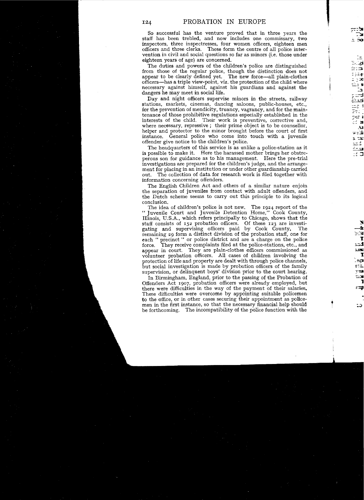50 successful has the venture proved that in three years the staff has been trebled, and now includes one commissary, two inspectors, three inspectresses, four women officers, eighteen men officers and three clerks. These form the centre of all police intervention in civil and sodal questions 50 far aS minors (i.e. those under eighteen years of age) are concerned.

The duties and powers of the children's police are distinguished from those of the regular police, though the distinction does not appear to be clearly defined yet. The new force-all plain-clothes officers-has a triple view-point, viz. the protection of the child where necessary against himself, against his guardians and against the dangers he may meet in social life.

Day and night officers supervise minors in the streets, railway stations, markets, cinemas, dancing saloons, public-houses, etc., for the prevention of mendicity, truancy, vagrancy, and for the maintenance of those prohibitive regulations especially established in the interests of the child. Their work is preventive, corrective and, where necessary, repressive; their prime object is to be counsellor, helper and protector to the minor brought before the court of first instanee. General police who come into touch with a juvenile offender give notice to the children's police.

The headquarters of this service is as unlike a police-station as it is possible to make it. Here the harassed mother brings her obstreperous son for guidance as to his management. Here the pre-trial investigations are prepared for the children's judge, and the arrangement for placing in an institution or under other guardianship carried out. The collection of data for research work is filed together with information concerning offenders.

The English Children Act and others of a similar nature enjoin the separation of juveniles from contact with adult offenders, and the Dutch scheme seems to carry out this principle to its logical conclusion.

The idea of children's police is not new. The 1924 report of the " Juvenile Court and Juvenile Detention Home," Cook County, Illinois, U.S.A., which refers principally to Chicago, shows that the staff consists of 152 probation officers. Of these 123 are investigating and supervising officers paid by Cook County. The remaining 29 form a distinct division of the probation staff, one for each " precinct" or police district and are a charge on the police force. They receive complaints filed at the police-stations, etc., and appear in court. They are plain-clothes officers commissioned as volunteer probation officers. All cases of children involving the protection of life and property are dealt with through police channels, but sodal investigation is made by probation officers of the family supervision, or delinquent boys' division prior to the court hearing.

In Birmingham, England, prior to the passing of the Probation of Offenders Act 1907, probation officers were already employed, but there were difficulties in the way of the payment of their salaries, These difficulties were overcome by appointing suitable policemen to the office, or in other cases securing their appointment as policemen in the first instanee, 50 that the necessary financial help should be forthcoming. The incompatibility of the police function with the

 $\ddagger$